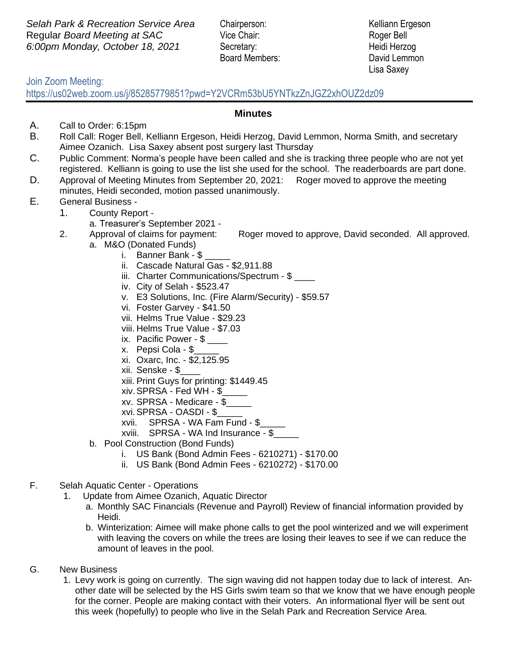**Selah Park & Recreation Service Area** Chairperson: Kelliann Ergeson Regular *Board Meeting at SAC* Vice Chair: Roger Bell *6:00pm Monday, October 18, 2021* Secretary: Heidi Herzog

Board Members: David Lemmon

Lisa Saxey

## Join Zoom Meeting:

https://us02web.zoom.us/j/85285779851?pwd=Y2VCRm53bU5YNTkzZnJGZ2xhOUZ2dz09

## **Minutes**

- A. Call to Order: 6:15pm
- B. Roll Call: Roger Bell, Kelliann Ergeson, Heidi Herzog, David Lemmon, Norma Smith, and secretary Aimee Ozanich. Lisa Saxey absent post surgery last Thursday
- C. Public Comment: Norma's people have been called and she is tracking three people who are not yet registered. Kelliann is going to use the list she used for the school. The readerboards are part done.
- D. Approval of Meeting Minutes from September 20, 2021: Roger moved to approve the meeting minutes, Heidi seconded, motion passed unanimously.
- E. General Business
	- 1. County Report
		- a. Treasurer's September 2021 -
	- 2. Approval of claims for payment: Roger moved to approve, David seconded. All approved. a. M&O (Donated Funds)
		- i. Banner Bank \$
		- ii. Cascade Natural Gas \$2,911.88
		- iii. Charter Communications/Spectrum \$
		- iv. City of Selah \$523.47
		- v. E3 Solutions, Inc. (Fire Alarm/Security) \$59.57
		- vi. Foster Garvey \$41.50
		- vii. Helms True Value \$29.23
		- viii. Helms True Value \$7.03
		- ix. Pacific Power \$
		- x. Pepsi Cola \$\_\_\_\_\_
		- xi. Oxarc, Inc. \$2,125.95
		- xii. Senske \$\_\_\_\_
		- xiii. Print Guys for printing: \$1449.45
		- xiv.SPRSA Fed WH \$\_\_\_\_\_
		- xv. SPRSA Medicare \$\_\_\_\_\_
		- xvi.SPRSA OASDI \$\_\_\_\_\_
		- xvii. SPRSA WA Fam Fund \$\_\_\_\_\_
		- xviii. SPRSA WA Ind Insurance \$\_\_\_\_\_
		- b. Pool Construction (Bond Funds)
			- i. US Bank (Bond Admin Fees 6210271) \$170.00
			- ii. US Bank (Bond Admin Fees 6210272) \$170.00
- F. Selah Aquatic Center Operations
	- 1. Update from Aimee Ozanich, Aquatic Director
		- a. Monthly SAC Financials (Revenue and Payroll) Review of financial information provided by Heidi.
		- b. Winterization: Aimee will make phone calls to get the pool winterized and we will experiment with leaving the covers on while the trees are losing their leaves to see if we can reduce the amount of leaves in the pool.
- G. New Business
	- 1. Levy work is going on currently. The sign waving did not happen today due to lack of interest. Another date will be selected by the HS Girls swim team so that we know that we have enough people for the corner. People are making contact with their voters. An informational flyer will be sent out this week (hopefully) to people who live in the Selah Park and Recreation Service Area.